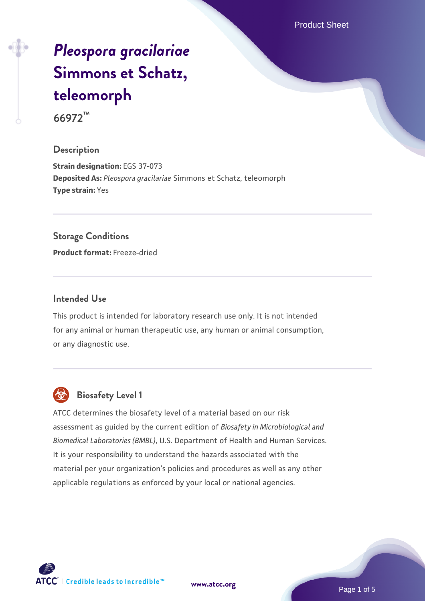Product Sheet

# *[Pleospora gracilariae](https://www.atcc.org/products/66972)* **[Simmons et Schatz,](https://www.atcc.org/products/66972) [teleomorph](https://www.atcc.org/products/66972)**

**66972™**

# **Description**

**Strain designation:** EGS 37-073 **Deposited As:** *Pleospora gracilariae* Simmons et Schatz, teleomorph **Type strain:** Yes

### **Storage Conditions**

**Product format:** Freeze-dried

# **Intended Use**

This product is intended for laboratory research use only. It is not intended for any animal or human therapeutic use, any human or animal consumption, or any diagnostic use.



# **Biosafety Level 1**

ATCC determines the biosafety level of a material based on our risk assessment as guided by the current edition of *Biosafety in Microbiological and Biomedical Laboratories (BMBL)*, U.S. Department of Health and Human Services. It is your responsibility to understand the hazards associated with the material per your organization's policies and procedures as well as any other applicable regulations as enforced by your local or national agencies.

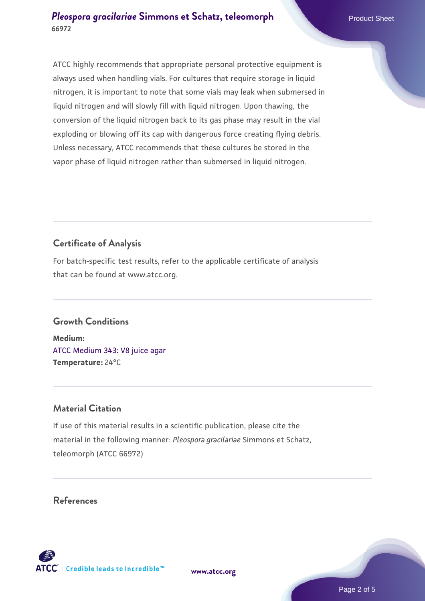ATCC highly recommends that appropriate personal protective equipment is always used when handling vials. For cultures that require storage in liquid nitrogen, it is important to note that some vials may leak when submersed in liquid nitrogen and will slowly fill with liquid nitrogen. Upon thawing, the conversion of the liquid nitrogen back to its gas phase may result in the vial exploding or blowing off its cap with dangerous force creating flying debris. Unless necessary, ATCC recommends that these cultures be stored in the vapor phase of liquid nitrogen rather than submersed in liquid nitrogen.

# **Certificate of Analysis**

For batch-specific test results, refer to the applicable certificate of analysis that can be found at www.atcc.org.

# **Growth Conditions**

**Medium:**  [ATCC Medium 343: V8 juice agar](https://www.atcc.org/-/media/product-assets/documents/microbial-media-formulations/3/4/3/atcc-medium-0343.pdf?rev=fbf48fa24e664932828269db1822ab12) **Temperature:** 24°C

# **Material Citation**

If use of this material results in a scientific publication, please cite the material in the following manner: *Pleospora gracilariae* Simmons et Schatz, teleomorph (ATCC 66972)

# **References**

**[www.atcc.org](http://www.atcc.org)**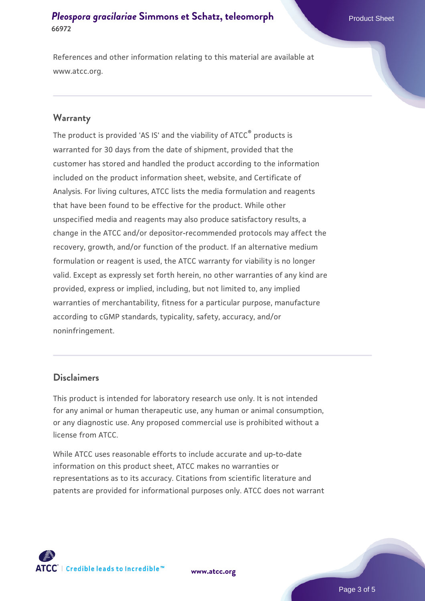References and other information relating to this material are available at www.atcc.org.

### **Warranty**

The product is provided 'AS IS' and the viability of ATCC® products is warranted for 30 days from the date of shipment, provided that the customer has stored and handled the product according to the information included on the product information sheet, website, and Certificate of Analysis. For living cultures, ATCC lists the media formulation and reagents that have been found to be effective for the product. While other unspecified media and reagents may also produce satisfactory results, a change in the ATCC and/or depositor-recommended protocols may affect the recovery, growth, and/or function of the product. If an alternative medium formulation or reagent is used, the ATCC warranty for viability is no longer valid. Except as expressly set forth herein, no other warranties of any kind are provided, express or implied, including, but not limited to, any implied warranties of merchantability, fitness for a particular purpose, manufacture according to cGMP standards, typicality, safety, accuracy, and/or noninfringement.

### **Disclaimers**

This product is intended for laboratory research use only. It is not intended for any animal or human therapeutic use, any human or animal consumption, or any diagnostic use. Any proposed commercial use is prohibited without a license from ATCC.

While ATCC uses reasonable efforts to include accurate and up-to-date information on this product sheet, ATCC makes no warranties or representations as to its accuracy. Citations from scientific literature and patents are provided for informational purposes only. ATCC does not warrant



**[www.atcc.org](http://www.atcc.org)**

Page 3 of 5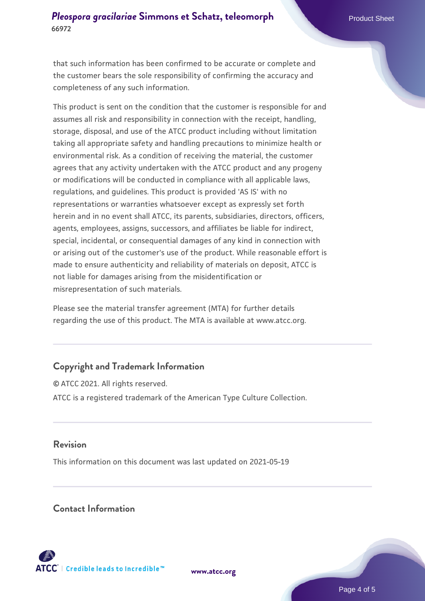that such information has been confirmed to be accurate or complete and the customer bears the sole responsibility of confirming the accuracy and completeness of any such information.

This product is sent on the condition that the customer is responsible for and assumes all risk and responsibility in connection with the receipt, handling, storage, disposal, and use of the ATCC product including without limitation taking all appropriate safety and handling precautions to minimize health or environmental risk. As a condition of receiving the material, the customer agrees that any activity undertaken with the ATCC product and any progeny or modifications will be conducted in compliance with all applicable laws, regulations, and guidelines. This product is provided 'AS IS' with no representations or warranties whatsoever except as expressly set forth herein and in no event shall ATCC, its parents, subsidiaries, directors, officers, agents, employees, assigns, successors, and affiliates be liable for indirect, special, incidental, or consequential damages of any kind in connection with or arising out of the customer's use of the product. While reasonable effort is made to ensure authenticity and reliability of materials on deposit, ATCC is not liable for damages arising from the misidentification or misrepresentation of such materials.

Please see the material transfer agreement (MTA) for further details regarding the use of this product. The MTA is available at www.atcc.org.

# **Copyright and Trademark Information**

© ATCC 2021. All rights reserved. ATCC is a registered trademark of the American Type Culture Collection.

# **Revision**

This information on this document was last updated on 2021-05-19

# **Contact Information**



**[www.atcc.org](http://www.atcc.org)**

Page 4 of 5